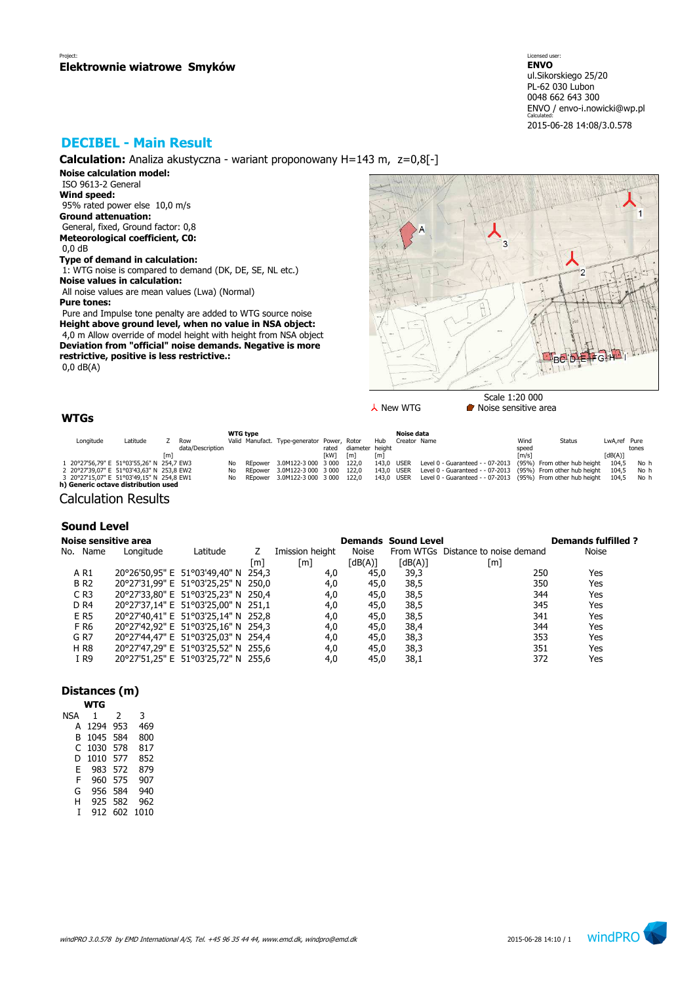Licensed user: **ENVO**  ul.Sikorskiego 25/20 PL-62 030 Lubon 0048 662 643 300 ENVO / envo-i.nowicki@wp.pl Calculated: 2015-06-28 14:08/3.0.578

# **DECIBEL - Main Result**

**Calculation:** Analiza akustyczna - wariant proponowany H=143 m, z=0,8[-]

**Noise calculation model:** ISO 9613-2 General

**Wind speed:** 95% rated power else 10,0 m/s **Ground attenuation:** General, fixed, Ground factor: 0,8 **Meteorological coefficient, C0:** 0,0 dB

# **Type of demand in calculation:**

 1: WTG noise is compared to demand (DK, DE, SE, NL etc.) **Noise values in calculation:** All noise values are mean values (Lwa) (Normal)

**Pure tones:**

 Pure and Impulse tone penalty are added to WTG source noise **Height above ground level, when no value in NSA object:** 4,0 m Allow override of model height with height from NSA object **Deviation from "official" noise demands. Negative is more restrictive, positive is less restrictive.:** 0,0 dB(A)

IRA

Scale 1:20 000  $\lambda$  New WTG **Noise sensitive area** 

# **WTGs**

|           |                                           |     |                  |     | <b>WTG type</b> |                                             |            |                 |            | Noise data   |                                                                               |                     |               |              |       |
|-----------|-------------------------------------------|-----|------------------|-----|-----------------|---------------------------------------------|------------|-----------------|------------|--------------|-------------------------------------------------------------------------------|---------------------|---------------|--------------|-------|
| Lonaitude | Latitude                                  |     | Row              |     |                 | Valid Manufact. Type-generator Power, Rotor |            |                 | Hub        | Creator Name |                                                                               | Wind                | <b>Status</b> | LwA.ref Pure |       |
|           |                                           |     | data/Description |     |                 |                                             | rated      | diameter height |            |              |                                                                               | speed               |               |              | tones |
|           |                                           | [m] |                  |     |                 |                                             | <b>TkW</b> | [m]             | [m]        |              |                                                                               | $\lceil m/s \rceil$ |               | [dB(A)]      |       |
|           | 20°27'56,79" E 51°03'55,26" N 254,7 EW3   |     |                  | Nο  |                 | REpower 3.0M122-3 000 3 000 122.0           |            |                 | 143.0 USER |              | Level 0 - Guaranteed - - 07-2013 (95%) From other hub height                  |                     |               | 104.5        | No h  |
|           | 2 20°27'39,07" E 51°03'43,63" N 253,8 EW2 |     |                  | No  |                 | REpower 3.0M122-3 000 3 000 122.0           |            |                 | 143.0 USER |              | Level 0 - Guaranteed - - 07-2013 (95%) From other hub height                  |                     |               | 104.5        | No h  |
|           | 3 20°27'15,07" E 51°03'49,15" N 254,8 EW1 |     |                  | No. |                 | REpower 3.0M122-3 000 3 000 122.0           |            |                 |            |              | 143,0 USER Level 0 - Guaranteed - - 07-2013 (95%) From other hub height 104,5 |                     |               |              | No h  |
|           | h) Generic octave distribution used       |     |                  |     |                 |                                             |            |                 |            |              |                                                                               |                     |               |              |       |

Calculation Results

## **Sound Level**

| <b>Noise sensitive area</b> |           |                                     |     |                   |              | <b>Demands Sound Level</b> |                                    | <b>Demands fulfilled?</b> |
|-----------------------------|-----------|-------------------------------------|-----|-------------------|--------------|----------------------------|------------------------------------|---------------------------|
| No. Name                    | Longitude | Latitude                            |     | Imission height   | <b>Noise</b> |                            | From WTGs Distance to noise demand | <b>Noise</b>              |
|                             |           |                                     | [m] | $\lceil m \rceil$ | [dB(A)]      | $\lceil dB(A) \rceil$      | [m]                                |                           |
| A R1                        |           | 20°26'50,95" E 51°03'49,40" N 254,3 |     | 4,0               | 45,0         | 39,3                       | 250                                | Yes                       |
| <b>BR2</b>                  |           | 20°27'31,99" E 51°03'25,25" N 250,0 |     | 4,0               | 45,0         | 38,5                       | 350                                | Yes                       |
| $C$ R <sub>3</sub>          |           | 20°27'33,80" E 51°03'25,23" N 250,4 |     | 4,0               | 45,0         | 38,5                       | 344                                | Yes                       |
| D <sub>R4</sub>             |           | 20°27'37,14" E 51°03'25,00" N 251,1 |     | 4,0               | 45,0         | 38,5                       | 345                                | Yes                       |
| E R5                        |           | 20°27'40,41" E 51°03'25,14" N 252,8 |     | 4,0               | 45,0         | 38,5                       | 341                                | Yes                       |
| F R6                        |           | 20°27'42,92" E 51°03'25,16" N 254,3 |     | 4,0               | 45,0         | 38,4                       | 344                                | Yes                       |
| G <sub>R7</sub>             |           | 20°27'44,47" E 51°03'25,03" N 254,4 |     | 4,0               | 45,0         | 38,3                       | 353                                | Yes                       |
| <b>HR8</b>                  |           | 20°27'47,29" E 51°03'25,52" N 255,6 |     | 4,0               | 45,0         | 38,3                       | 351                                | Yes                       |
| I R9                        |           | 20°27'51,25" E 51°03'25,72" N 255,6 |     | 4,0               | 45,0         | 38,1                       | 372                                | Yes                       |

## **Distances (m)**

| WTG  |     |      |
|------|-----|------|
| 1    | 2   | 3    |
| 1294 | 953 | 469  |
| 1045 | 584 | 800  |
| 1030 | 578 | 817  |
| 1010 | 577 | 852  |
| 983  | 572 | 879  |
| 960  | 575 | 907  |
| 956  | 584 | 940  |
| 925  | 582 | 962  |
| 912  | 602 | 1010 |
|      |     |      |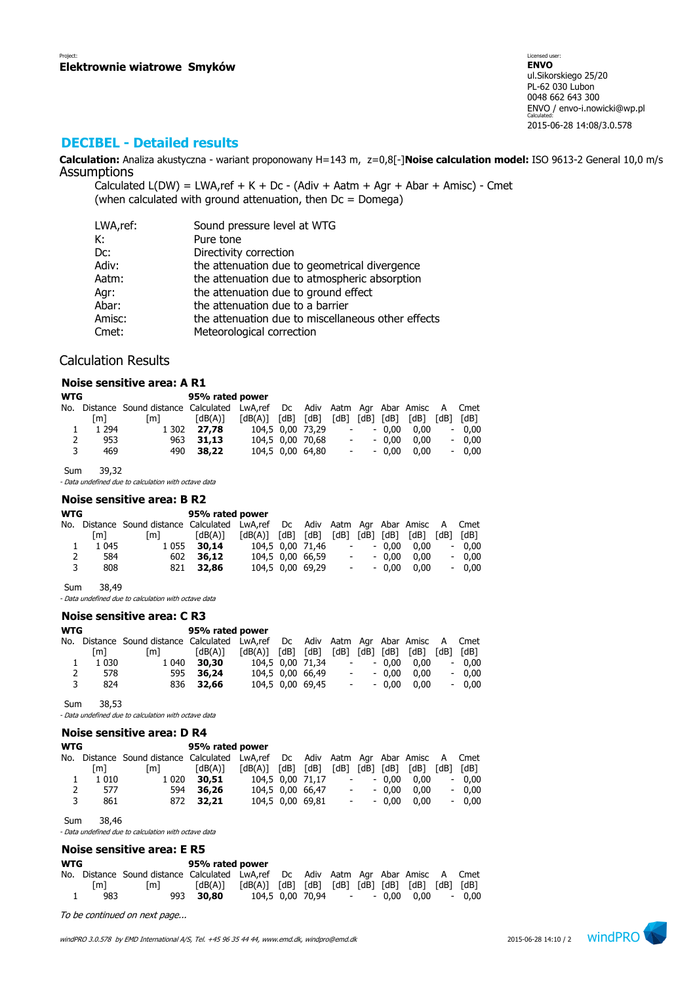# **DECIBEL - Detailed results**

**Calculation:** Analiza akustyczna - wariant proponowany H=143 m, z=0,8[-]**Noise calculation model:** ISO 9613-2 General 10,0 m/s **Assumptions** 

Calculated  $L(DW) = LWA$ , ref + K + Dc - (Adiv + Aatm + Agr + Abar + Amisc) - Cmet (when calculated with ground attenuation, then  $Dc = D$ omega)

| LWA,ref: | Sound pressure level at WTG                        |
|----------|----------------------------------------------------|
| К:       | Pure tone                                          |
| Dc:      | Directivity correction                             |
| Adiv:    | the attenuation due to geometrical divergence      |
| Aatm:    | the attenuation due to atmospheric absorption      |
| Agr:     | the attenuation due to ground effect               |
| Abar:    | the attenuation due to a barrier                   |
| Amisc:   | the attenuation due to miscellaneous other effects |
| Cmet:    | Meteorological correction                          |

## Calculation Results

## **Noise sensitive area: A R1**

| <b>WTG</b> |         |                                                                                   | 95% rated power |                         |                  |            |         |                             |      |         |
|------------|---------|-----------------------------------------------------------------------------------|-----------------|-------------------------|------------------|------------|---------|-----------------------------|------|---------|
|            |         | No. Distance Sound distance Calculated LwA,ref Dc Adiv Aatm Agr Abar Amisc A Cmet |                 |                         |                  |            |         |                             |      |         |
|            | [m]     | [m]                                                                               | [dB(A)]         | $[dB(A)]$ $[dB]$ $[dB]$ |                  |            |         | $[dB]$ $[dB]$ $[dB]$ $[dB]$ | [dB] | [dB]    |
|            | 1 2 9 4 | 1 302                                                                             | 27.78           |                         | 104.5 0.00 73.29 | $\sim 100$ | - 0.00  | 0.00                        |      | $-0.00$ |
| 2          | 953     |                                                                                   | 963 31.13       |                         | 104,5 0,00 70,68 | $\sim 100$ | $-0.00$ | 0.00                        |      | $-0.00$ |
| 3          | 469     |                                                                                   | 490 38.22       |                         | 104.5 0.00 64.80 | $\sim 100$ | $-0.00$ | 0.00                        |      | $-0.00$ |

Sum 39,32

- Data undefined due to calculation with octave data

## **Noise sensitive area: B R2**

| <b>WTG</b> |         |                                                                                   | 95% rated power |                         |                  |                          |            |                |      |           |
|------------|---------|-----------------------------------------------------------------------------------|-----------------|-------------------------|------------------|--------------------------|------------|----------------|------|-----------|
|            |         | No. Distance Sound distance Calculated LwA,ref Dc Adiv Aatm Agr Abar Amisc A Cmet |                 |                         |                  |                          |            |                |      |           |
|            | [m]     | [m]                                                                               | [dB(A)]         | $[dB(A)]$ $[dB]$ $[dB]$ |                  |                          |            | [dB] [dB] [dB] | [dB] | [dB] [dB] |
|            | 1 0 4 5 | 1 0 5 5                                                                           | 30,14           |                         | 104.5 0.00 71.46 | $\overline{\phantom{a}}$ |            | $-0.00$        | 0.00 | $-0.00$   |
| 2          | 584     |                                                                                   | 602 36.12       |                         | 104.5 0.00 66.59 | $\overline{\phantom{a}}$ |            | $-0.00$        | 0.00 | $-0.00$   |
| 3          | 808     |                                                                                   | 821 32.86       |                         | 104,5 0,00 69,29 |                          | $\sim 100$ | $-0.00$        | 0.00 | $-0.00$   |
|            |         |                                                                                   |                 |                         |                  |                          |            |                |      |           |

Sum 38,49

- Data undefined due to calculation with octave data

## **Noise sensitive area: C R3**

| <b>WTG</b> |         |                                                                                   | 95% rated power |                   |  |                  |                          |            |         |      |                          |         |
|------------|---------|-----------------------------------------------------------------------------------|-----------------|-------------------|--|------------------|--------------------------|------------|---------|------|--------------------------|---------|
|            |         | No. Distance Sound distance Calculated LwA,ref Dc Adiv Aatm Agr Abar Amisc A Cmet |                 |                   |  |                  |                          |            |         |      |                          |         |
|            | [m]     | [m]                                                                               | [dB(A)]         | [dB(A)] [dB] [dB] |  |                  | $[dB]$ $[dB]$ $[dB]$     |            |         | [dB] | [dB]                     | [dB]    |
|            | 1 0 3 0 | 1 040                                                                             | 30,30           |                   |  | 104.5 0.00 71.34 |                          | $\sim 100$ | $-0.00$ | 0.00 | $\overline{\phantom{a}}$ | 0.00    |
| 2          | 578     |                                                                                   | 595 36.24       |                   |  | 104,5 0,00 66,49 | $\overline{\phantom{a}}$ |            | $-0.00$ | 0.00 |                          | $-0.00$ |
| 3          | 824     |                                                                                   | 836 32.66       |                   |  | 104,5 0,00 69,45 |                          | $\sim 100$ | $-0.00$ | 0.00 |                          | $-0.00$ |

Sum 38,53

- Data undefined due to calculation with octave data

|            |         | Noise sensitive area: D R4                                                   |                 |         |      |                  |                          |      |         |      |      |         |
|------------|---------|------------------------------------------------------------------------------|-----------------|---------|------|------------------|--------------------------|------|---------|------|------|---------|
| <b>WTG</b> |         |                                                                              | 95% rated power |         |      |                  |                          |      |         |      |      |         |
|            |         | No. Distance Sound distance Calculated LwA,ref Dc Adiv Aatm Agr Abar Amisc A |                 |         |      |                  |                          |      |         |      |      | Cmet    |
|            | [m]     | [m]                                                                          | (dB(A)]         | [dB(A)] | [dB] | [dB]             | [dB]                     | [dB] | [dB]    | [dB] | [dB] | [dB]    |
|            | 1 0 1 0 | 1 0 2 0                                                                      | 30,51           |         |      | 104,5 0,00 71,17 | $\overline{\phantom{a}}$ |      | $-0.00$ | 0.00 |      | $-0,00$ |
| 2          | 577     | 594                                                                          | 36,26           |         |      | 104,5 0,00 66,47 | $\overline{\phantom{a}}$ |      | $-0.00$ | 0.00 |      | $-0,00$ |
| 3          | 861     | 872                                                                          | 32,21           |         |      | 104,5 0,00 69,81 | $\overline{\phantom{a}}$ |      | $-0.00$ | 0.00 |      | $-0,00$ |
|            |         |                                                                              |                 |         |      |                  |                          |      |         |      |      |         |

Sum 38,46

- Data undefined due to calculation with octave data

## **Noise sensitive area: E R5**

| WTG |     |                                                                                   | 95% rated power                                                                                                                                               |  |  |  |                                |         |
|-----|-----|-----------------------------------------------------------------------------------|---------------------------------------------------------------------------------------------------------------------------------------------------------------|--|--|--|--------------------------------|---------|
|     |     | No. Distance Sound distance Calculated LwA,ref Dc Adiv Aatm Agr Abar Amisc A Cmet |                                                                                                                                                               |  |  |  |                                |         |
|     | [m] | [m]                                                                               | $\lceil dB(A) \rceil$ $\lceil dB(A) \rceil$ $\lceil dB \rceil$ $\lceil dB \rceil$ $\lceil dB \rceil$ $\lceil dB \rceil$ $\lceil dB \rceil$ $\lceil dB \rceil$ |  |  |  |                                |         |
|     | 983 |                                                                                   | 993 30.80                                                                                                                                                     |  |  |  | 104.5 0.00 70.94 - - 0.00 0.00 | $-0.00$ |

To be continued on next page...

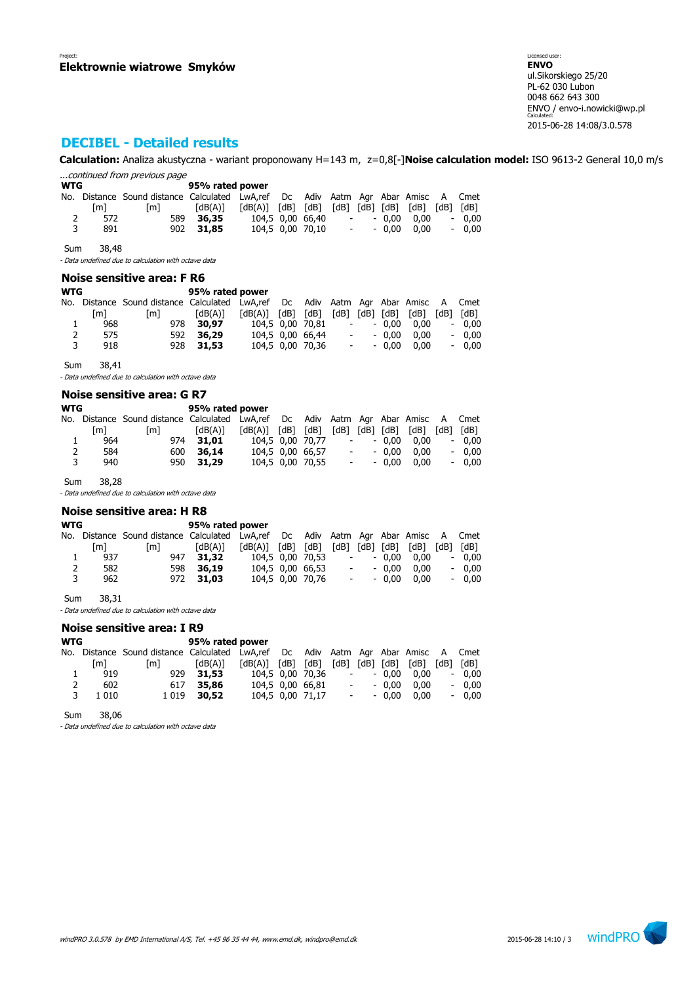Licensed user: **ENVO**  ul.Sikorskiego 25/20 PL-62 030 Lubon 0048 662 643 300 ENVO / envo-i.nowicki@wp.pl Calculated: 2015-06-28 14:08/3.0.578

# **DECIBEL - Detailed results**

**Calculation:** Analiza akustyczna - wariant proponowany H=143 m, z=0,8[-]**Noise calculation model:** ISO 9613-2 General 10,0 m/s ...continued from previous page

| <b>WTG</b> |     |                                                                                   | 95% rated power |                                                                                                                                                            |                  |                          |                   |         |
|------------|-----|-----------------------------------------------------------------------------------|-----------------|------------------------------------------------------------------------------------------------------------------------------------------------------------|------------------|--------------------------|-------------------|---------|
|            |     | No. Distance Sound distance Calculated LwA,ref Dc Adiv Aatm Agr Abar Amisc A Cmet |                 |                                                                                                                                                            |                  |                          |                   |         |
|            | [m] | [m]                                                                               | [dB(A)]         | $\lceil dB(A) \rceil$ $\lceil dB \rceil$ $\lceil dB \rceil$ $\lceil dB \rceil$ $\lceil dB \rceil$ $\lceil dB \rceil$ $\lceil dB \rceil$ $\lceil dB \rceil$ |                  |                          |                   |         |
| 2          | 572 |                                                                                   | 589 36.35       |                                                                                                                                                            | 104.5 0.00 66.40 | $\sim 100$               | $-0.00$ $0.00$    | $-0.00$ |
| 3          | 891 |                                                                                   | 902 31.85       |                                                                                                                                                            | 104,5 0,00 70,10 | <b>Contract Contract</b> | $-0.00\quad 0.00$ | $-0.00$ |

Sum 38,48

- Data undefined due to calculation with octave data

## **Noise sensitive area: F R6**

| WTG            |     |                                                                               | 95% rated power |                       |               |                  |                          |           |      |                          |         |
|----------------|-----|-------------------------------------------------------------------------------|-----------------|-----------------------|---------------|------------------|--------------------------|-----------|------|--------------------------|---------|
| No.            |     | Distance Sound distance Calculated LwA,ref Dc Adiv Aatm Agr Abar Amisc A Cmet |                 |                       |               |                  |                          |           |      |                          |         |
|                | [m] | [m]                                                                           | [dB(A)]         | $\lceil dB(A) \rceil$ | $[dB]$ $[dB]$ |                  | [dB]                     | [dB] [dB] | [dB] | [dB]                     | [dB]    |
| 1              | 968 |                                                                               | 978 30.97       |                       |               | 104.5 0.00 70.81 | $\overline{\phantom{a}}$ | $-0.00$   | 0.00 | $\overline{\phantom{a}}$ | 0.00    |
| $\overline{2}$ | 575 | 592                                                                           | 36,29           |                       |               | 104,5 0,00 66,44 | $\overline{\phantom{a}}$ | $-0.00$   | 0.00 |                          | $-0.00$ |
| 3              | 918 |                                                                               | 928 31.53       |                       |               | 104.5 0.00 70.36 | $\overline{\phantom{a}}$ | $-0.00$   | 0.00 |                          | $-0.00$ |
|                |     |                                                                               |                 |                       |               |                  |                          |           |      |                          |         |

Sum 38,41

- Data undefined due to calculation with octave data

#### **Noise sensitive area: G R7**

| [m] | [m]        | [dB(A)] |                                     |                 |                         |                                                          |                                                  | [dB] | [dB]                                            | [dB]                                                                              |
|-----|------------|---------|-------------------------------------|-----------------|-------------------------|----------------------------------------------------------|--------------------------------------------------|------|-------------------------------------------------|-----------------------------------------------------------------------------------|
| 964 |            |         |                                     |                 |                         |                                                          |                                                  | 0.00 | $\overline{\phantom{a}}$                        | 0.00                                                                              |
| 584 |            |         |                                     |                 |                         |                                                          |                                                  | 0.00 | $\overline{\phantom{a}}$                        | 0.00                                                                              |
| 940 |            |         |                                     |                 |                         |                                                          |                                                  | 0.00 | $\overline{\phantom{0}}$                        | 0.00                                                                              |
|     | <b>WTG</b> |         | 974 31.01<br>600 36.14<br>950 31.29 | 95% rated power | $[dB(A)]$ $[dB]$ $[dB]$ | 104.5 0.00 70.77<br>104,5 0,00 66,57<br>104.5 0.00 70.55 | $\overline{\phantom{a}}$<br>$\sim$<br>$\sim 100$ |      | [dB] [dB] [dB]<br>$-0.00$<br>$-0.00$<br>$-0.00$ | No. Distance Sound distance Calculated LwA,ref Dc Adiv Aatm Agr Abar Amisc A Cmet |

Sum 38,28

- Data undefined due to calculation with octave data

## **Noise sensitive area: H R8**

| WTG |     | 95% rated power                                                                   |           |                         |  |                  |            |         |                             |      |         |
|-----|-----|-----------------------------------------------------------------------------------|-----------|-------------------------|--|------------------|------------|---------|-----------------------------|------|---------|
|     |     | No. Distance Sound-distance Calculated LwA,ref Dc Adiv Aatm Agr Abar Amisc A Cmet |           |                         |  |                  |            |         |                             |      |         |
|     | [m] | [m]                                                                               | [dB(A)]   | $[dB(A)]$ $[dB]$ $[dB]$ |  |                  |            |         | $[dB]$ $[dB]$ $[dB]$ $[dB]$ | [dB] | [dB]    |
| 1   | 937 | 947                                                                               | 31,32     | 104,5 0,00 70,53        |  |                  | $\sim 100$ | $-0.00$ | 0.00                        |      | $-0,00$ |
| 2   | 582 |                                                                                   | 598 36.19 | 104,5 0,00 66,53        |  |                  | $\sim 100$ | $-0.00$ | 0.00                        |      | $-0.00$ |
| 3   | 962 |                                                                                   | 972 31.03 |                         |  | 104,5 0,00 70,76 | $\sim 100$ | $-0.00$ | 0.00                        |      | $-0.00$ |
|     |     |                                                                                   |           |                         |  |                  |            |         |                             |      |         |

Sum 38,31

- Data undefined due to calculation with octave data

#### **Noise sensitive area: I R9**

| WTG     | 95% rated power |         |                                        |  |  |                                             |                                      |                                        |      |                                                 |                                                                                   |
|---------|-----------------|---------|----------------------------------------|--|--|---------------------------------------------|--------------------------------------|----------------------------------------|------|-------------------------------------------------|-----------------------------------------------------------------------------------|
|         |                 |         |                                        |  |  |                                             |                                      |                                        |      |                                                 |                                                                                   |
| [m]     | [m]             | [dB(A)] |                                        |  |  |                                             |                                      |                                        | [dB] | [dB]                                            | [dB]                                                                              |
| 919     |                 |         |                                        |  |  |                                             |                                      |                                        | 0.00 |                                                 | $-0.00$                                                                           |
| 602     |                 |         |                                        |  |  |                                             |                                      |                                        | 0.00 |                                                 | $-0.00$                                                                           |
| 1 0 1 0 |                 |         |                                        |  |  |                                             |                                      |                                        | 0.00 |                                                 | $-0.00$                                                                           |
|         |                 |         | 929 31.53<br>617 35,86<br>1 0 19 30.52 |  |  | $[dB(A)]$ $[dB]$ $[dB]$<br>104,5 0,00 66,81 | 104,5 0,00 70,36<br>104,5 0,00 71,17 | $\sim 100$<br>$\sim 100$<br>$\sim 100$ |      | [dB] [dB] [dB]<br>$-0.00$<br>$-0.00$<br>$-0.00$ | No. Distance Sound distance Calculated LwA,ref Dc Adiv Aatm Agr Abar Amisc A Cmet |

Sum 38,06

- Data undefined due to calculation with octave data

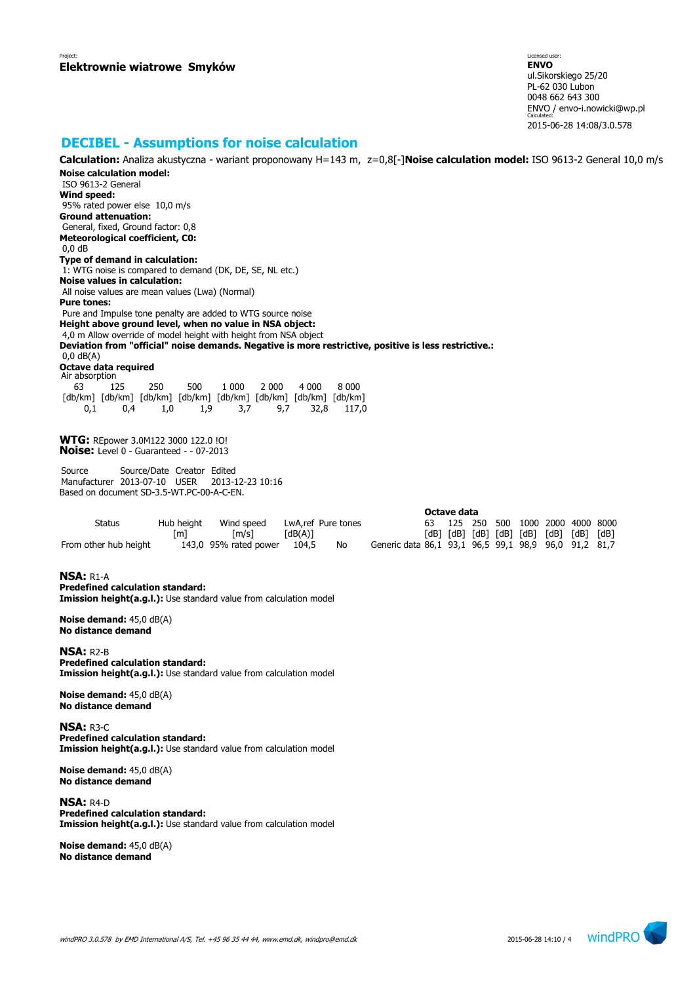Licensed user: **ENVO**  ul.Sikorskiego 25/20 PL-62 030 Lubon 0048 662 643 300 ENVO / envo-i.nowicki@wp.pl Calculated: 2015-06-28 14:08/3.0.578

## **DECIBEL - Assumptions for noise calculation**

**Calculation:** Analiza akustyczna - wariant proponowany H=143 m, z=0,8[-]**Noise calculation model:** ISO 9613-2 General 10,0 m/s **Noise calculation model:** ISO 9613-2 General **Wind speed:** 95% rated power else 10,0 m/s **Ground attenuation:** General, fixed, Ground factor: 0,8 **Meteorological coefficient, C0:** 0,0 dB **Type of demand in calculation:** 1: WTG noise is compared to demand (DK, DE, SE, NL etc.) **Noise values in calculation:** All noise values are mean values (Lwa) (Normal) **Pure tones:** Pure and Impulse tone penalty are added to WTG source noise **Height above ground level, when no value in NSA object:** 4,0 m Allow override of model height with height from NSA object **Deviation from "official" noise demands. Negative is more restrictive, positive is less restrictive.:** 0,0 dB(A) **Octave data required** Air absorption 63 125 250 500 1 000 2 000 4 000 8 000 [db/km] [db/km] [db/km] [db/km] [db/km] [db/km] [db/km] [db/km] 0,1 0,4 1,0 1,9 3,7 9,7 32,8 117,0 **WTG:** REpower 3.0M122 3000 122.0 !O! **Noise:** Level 0 - Guaranteed - - 07-2013 Source Source/Date Creator Edited Manufacturer 2013-07-10 USER 2013-12-23 10:16 Based on document SD-3.5-WT.PC-00-A-C-EN. **Octave data** Status Hub height Wind speed LwA,ref Pure tones 63 125 250 500 1000 2000 4000 8000 [m] [m/s] [dB(A)] [dB] [dB] [dB] [dB] [dB] [dB] [dB] [dB] From other hub height 143,0 95% rated power 104,5 No Generic data 86,1 93,1 96,5 99,1 98,9 96,0 91,2 81,7 **NSA:** R1-A **Predefined calculation standard: Imission height(a.g.l.):** Use standard value from calculation model **Noise demand:** 45,0 dB(A) **No distance demand NSA:** R2-B **Predefined calculation standard: Imission height(a.g.l.):** Use standard value from calculation model **Noise demand:** 45,0 dB(A) **No distance demand NSA:** R3-C **Predefined calculation standard: Imission height(a.g.l.):** Use standard value from calculation model

**Noise demand:** 45,0 dB(A) **No distance demand**

**NSA:** R4-D **Predefined calculation standard: Imission height(a.g.l.):** Use standard value from calculation model

**Noise demand:** 45,0 dB(A) **No distance demand**